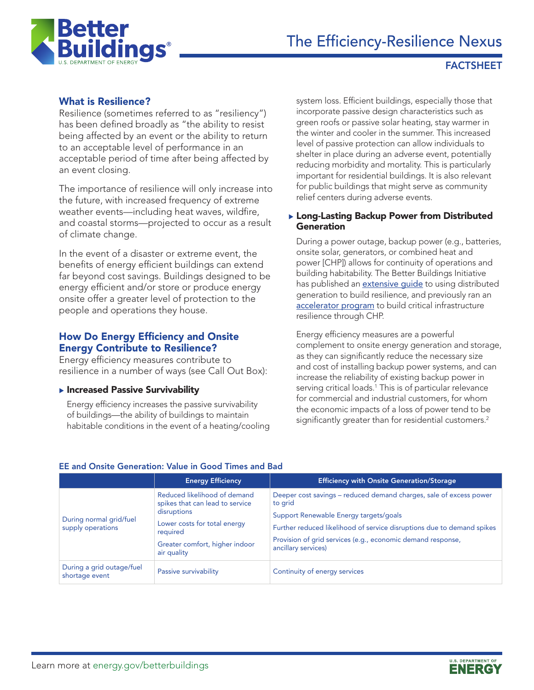

# The Efficiency-Resilience Nexus

# FACTSHEET

## What is Resilience?

Resilience (sometimes referred to as "resiliency") has been defined broadly as "the ability to resist being affected by an event or the ability to return to an acceptable level of performance in an acceptable period of time after being affected by an event closing.

The importance of resilience will only increase into the future, with increased frequency of extreme weather events—including heat waves, wildfire, and coastal storms—projected to occur as a result of climate change.

In the event of a disaster or extreme event, the benefits of energy efficient buildings can extend far beyond cost savings. Buildings designed to be energy efficient and/or store or produce energy onsite offer a greater level of protection to the people and operations they house.

## How Do Energy Efficiency and Onsite Energy Contribute to Resilience?

Energy efficiency measures contribute to resilience in a number of ways (see Call Out Box):

#### $\blacktriangleright$  Increased Passive Survivability

Energy efficiency increases the passive survivability of buildings—the ability of buildings to maintain habitable conditions in the event of a heating/cooling system loss. Efficient buildings, especially those that incorporate passive design characteristics such as green roofs or passive solar heating, stay warmer in the winter and cooler in the summer. This increased level of passive protection can allow individuals to shelter in place during an adverse event, potentially reducing morbidity and mortality. This is particularly important for residential buildings. It is also relevant for public buildings that might serve as community relief centers during adverse events.

#### **Long-Lasting Backup Power from Distributed** Generation

During a power outage, backup power (e.g., batteries, onsite solar, generators, or combined heat and power [CHP]) allows for continuity of operations and building habitability. The Better Buildings Initiative has published an *extensive quide* to using distributed generation to build resilience, and previously ran an [accelerator program](https://betterbuildingssolutioncenter.energy.gov/accelerators/combined-heat-and-power-resiliency) to build critical infrastructure resilience through CHP.

Energy efficiency measures are a powerful complement to onsite energy generation and storage, as they can significantly reduce the necessary size and cost of installing backup power systems, and can increase the reliability of existing backup power in serving critical loads.1 This is of particular relevance for commercial and industrial customers, for whom the economic impacts of a loss of power tend to be significantly greater than for residential customers.<sup>2</sup>

|                                              | <b>Energy Efficiency</b>                                                                                                                                                    | <b>Efficiency with Onsite Generation/Storage</b>                                                                                                                                                                                                                                        |
|----------------------------------------------|-----------------------------------------------------------------------------------------------------------------------------------------------------------------------------|-----------------------------------------------------------------------------------------------------------------------------------------------------------------------------------------------------------------------------------------------------------------------------------------|
| During normal grid/fuel<br>supply operations | Reduced likelihood of demand<br>spikes that can lead to service<br>disruptions<br>Lower costs for total energy<br>required<br>Greater comfort, higher indoor<br>air quality | Deeper cost savings – reduced demand charges, sale of excess power<br>to grid<br>Support Renewable Energy targets/goals<br>Further reduced likelihood of service disruptions due to demand spikes<br>Provision of grid services (e.g., economic demand response,<br>ancillary services) |
| During a grid outage/fuel<br>shortage event  | Passive survivability                                                                                                                                                       | Continuity of energy services                                                                                                                                                                                                                                                           |

#### EE and Onsite Generation: Value in Good Times and Bad